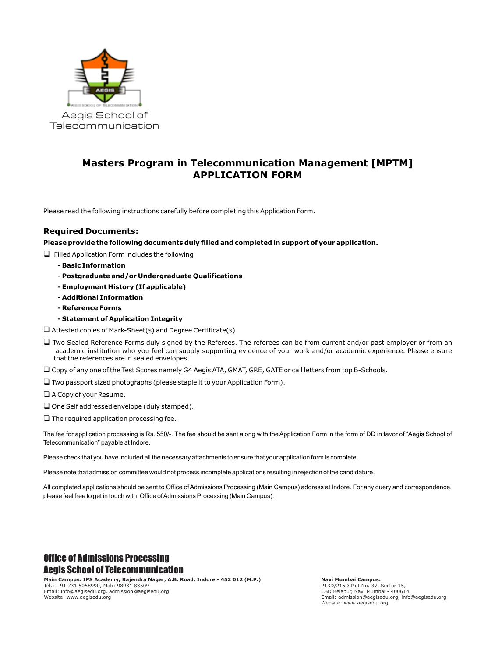

## **Masters Program in Telecommunication Management [MPTM] APPLICATION FORM**

Please read the following instructions carefully before completing this Application Form.

#### **Required Documents:**

**Please provide the following documents duly filled and completed in support of your application.**

 $\Box$  Filled Application Form includes the following

- **Basic Information**
- **Postgraduate and/or Undergraduate Qualifications**
- **Employment History (If applicable)**
- **Additional Information**
- **Reference Forms**
- **Statement of Application Integrity**

 $\Box$  Attested copies of Mark-Sheet(s) and Degree Certificate(s).

 $\square$  Two Sealed Reference Forms duly signed by the Referees. The referees can be from current and/or past employer or from an academic institution who you feel can supply supporting evidence of your work and/or academic experience. Please ensure that the references are in sealed envelopes.

 $\Box$  Copy of any one of the Test Scores namely G4 Aegis ATA, GMAT, GRE, GATE or call letters from top B-Schools.

- $\square$  Two passport sized photographs (please staple it to your Application Form).
- $\Box$  A Copy of your Resume.
- $\square$  One Self addressed envelope (duly stamped).
- $\square$  The required application processing fee.

The fee for application processing is Rs. 550/-. The fee should be sent along with the Application Form in the form of DD in favor of "Aegis School of Telecommunication" payable at Indore.

Please check that you have included all the necessary attachments to ensure that your application form is complete.

Please note that admission committee would not process incomplete applications resulting in rejection of the candidature.

All completed applications should be sent to Office of Admissions Processing (Main Campus) address at Indore. For any query and correspondence, please feel free to get in touch with Office of Admissions Processing (Main Campus).

## Office of Admissions Processing Aegis School of Telecommunication

**Main Campus: IPS Academy, Rajendra Nagar, A.B. Road, Indore - 452 012 (M.P.)** Tel.: +91 731 5058990, Mob: 98931 83509 Email: info@aegisedu.org, admission@aegisedu.org Website: www.aegisedu.org

**Navi Mumbai Campus:**  213D/215D Plot No. 37, Sector 15, CBD Belapur, Navi Mumbai - 400614 Email: admission@aegisedu.org, info@aegisedu.org Website: www.aegisedu.org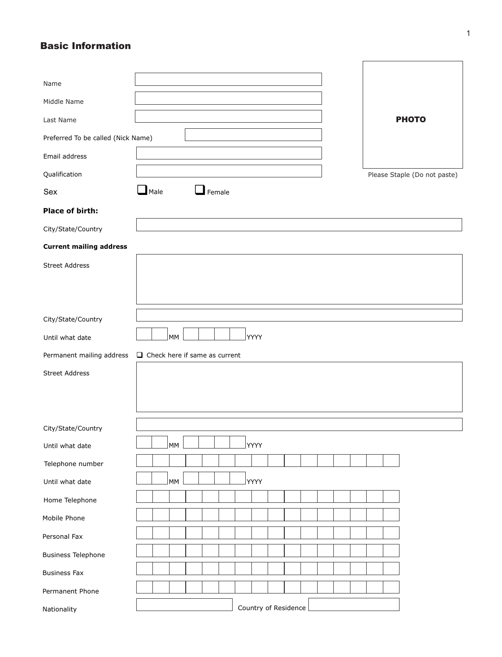## Basic Information

| Name                               |                                                                |                              |
|------------------------------------|----------------------------------------------------------------|------------------------------|
| Middle Name                        |                                                                |                              |
| Last Name                          |                                                                | <b>PHOTO</b>                 |
| Preferred To be called (Nick Name) |                                                                |                              |
| Email address                      |                                                                |                              |
| Qualification                      |                                                                | Please Staple (Do not paste) |
| Sex                                | $\Box$ Male<br>$\mathsf{I}$ Female                             |                              |
| <b>Place of birth:</b>             |                                                                |                              |
| City/State/Country                 |                                                                |                              |
| <b>Current mailing address</b>     |                                                                |                              |
| <b>Street Address</b>              |                                                                |                              |
|                                    |                                                                |                              |
|                                    |                                                                |                              |
| City/State/Country                 |                                                                |                              |
| Until what date                    | <b>MM</b><br>YYYY                                              |                              |
|                                    | Permanent mailing address $\Box$ Check here if same as current |                              |
| <b>Street Address</b>              |                                                                |                              |
|                                    |                                                                |                              |
|                                    |                                                                |                              |
| City/State/Country                 |                                                                |                              |
| Until what date                    | MM<br>YYYY                                                     |                              |
| Telephone number                   |                                                                |                              |
| Until what date                    | <b>MM</b><br>YYYY                                              |                              |
|                                    |                                                                |                              |
| Home Telephone                     |                                                                |                              |
| Mobile Phone                       |                                                                |                              |
| Personal Fax                       |                                                                |                              |
| <b>Business Telephone</b>          |                                                                |                              |
| <b>Business Fax</b>                |                                                                |                              |
| Permanent Phone                    |                                                                |                              |
| Nationality                        | Country of Residence                                           |                              |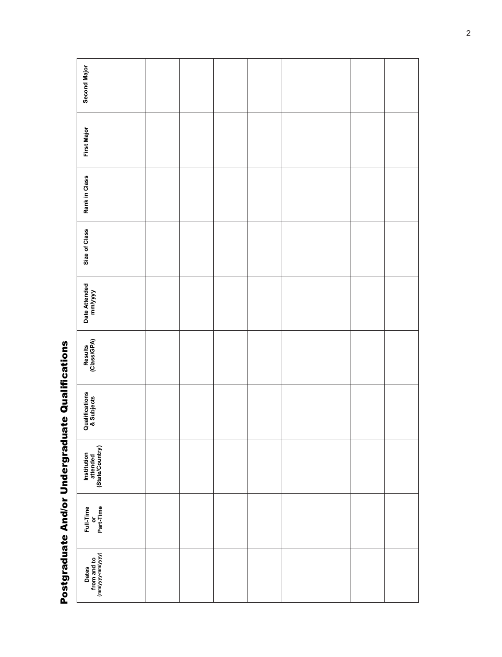| $\frac{1}{2}$ |
|---------------|
|               |
| I             |
|               |
|               |
| I             |
|               |
|               |
|               |
|               |
|               |
|               |
| I             |
|               |
| I             |
|               |

| <b>Second Major</b>                        |  |  |  |  |  |
|--------------------------------------------|--|--|--|--|--|
| <b>First Major</b>                         |  |  |  |  |  |
| Rank in Class                              |  |  |  |  |  |
| Size of Class                              |  |  |  |  |  |
| Date Attended<br>mm/yyyy                   |  |  |  |  |  |
| Results<br>(Class/GPA)                     |  |  |  |  |  |
| Qualifications<br>& Subjects               |  |  |  |  |  |
| Institution<br>attended<br>(State/Country) |  |  |  |  |  |
| Full-Time<br>or<br>Part-Time               |  |  |  |  |  |
| Dates<br>from and to<br>(mm/yyyy-mm/yyyy)  |  |  |  |  |  |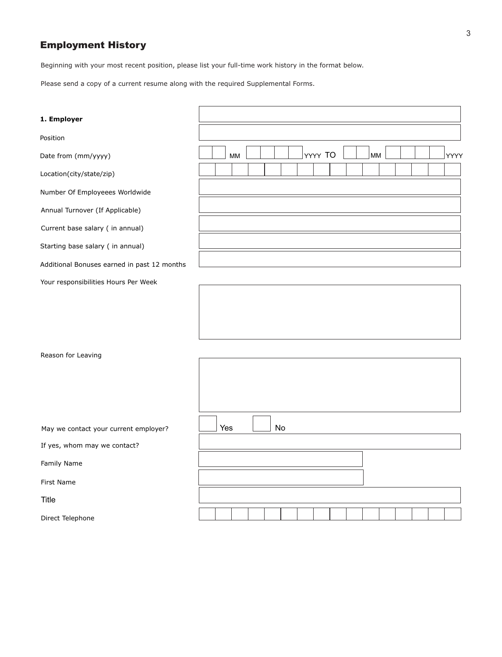## Employment History

Beginning with your most recent position, please list your full-time work history in the format below.

Please send a copy of a current resume along with the required Supplemental Forms.

| 1. Employer                                 |     |    |    |  |         |  |    |  |      |
|---------------------------------------------|-----|----|----|--|---------|--|----|--|------|
| Position                                    |     |    |    |  |         |  |    |  |      |
| Date from (mm/yyyy)                         |     | MM |    |  | YYYY TO |  | MM |  | YYYY |
| Location(city/state/zip)                    |     |    |    |  |         |  |    |  |      |
| Number Of Employeees Worldwide              |     |    |    |  |         |  |    |  |      |
| Annual Turnover (If Applicable)             |     |    |    |  |         |  |    |  |      |
| Current base salary ( in annual)            |     |    |    |  |         |  |    |  |      |
| Starting base salary ( in annual)           |     |    |    |  |         |  |    |  |      |
| Additional Bonuses earned in past 12 months |     |    |    |  |         |  |    |  |      |
| Your responsibilities Hours Per Week        |     |    |    |  |         |  |    |  |      |
|                                             |     |    |    |  |         |  |    |  |      |
|                                             |     |    |    |  |         |  |    |  |      |
|                                             |     |    |    |  |         |  |    |  |      |
| Reason for Leaving                          |     |    |    |  |         |  |    |  |      |
|                                             |     |    |    |  |         |  |    |  |      |
|                                             |     |    |    |  |         |  |    |  |      |
|                                             |     |    |    |  |         |  |    |  |      |
| May we contact your current employer?       | Yes |    | No |  |         |  |    |  |      |
| If yes, whom may we contact?                |     |    |    |  |         |  |    |  |      |
| Family Name                                 |     |    |    |  |         |  |    |  |      |
| First Name                                  |     |    |    |  |         |  |    |  |      |
| Title                                       |     |    |    |  |         |  |    |  |      |
| Direct Telephone                            |     |    |    |  |         |  |    |  |      |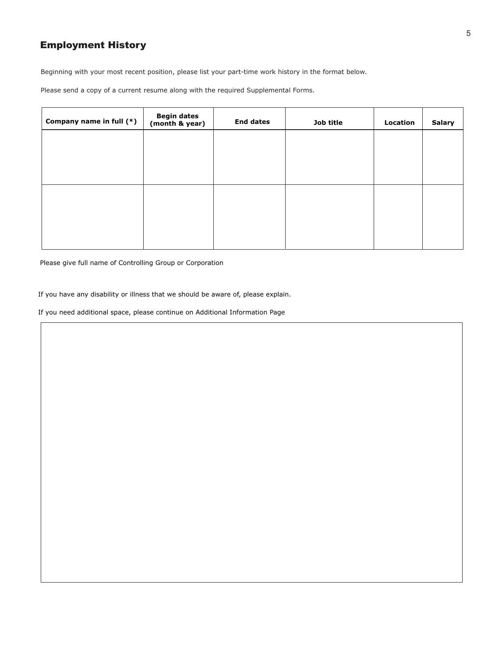## Employment History

Beginning with your most recent position, please list your part-time work history in the format below.

Please send a copy of a current resume along with the required Supplemental Forms.

| Company name in full (*) | <b>Begin dates</b><br>(month & year) | <b>End dates</b> | Job title | Location | <b>Salary</b> |
|--------------------------|--------------------------------------|------------------|-----------|----------|---------------|
|                          |                                      |                  |           |          |               |
|                          |                                      |                  |           |          |               |
|                          |                                      |                  |           |          |               |
|                          |                                      |                  |           |          |               |
|                          |                                      |                  |           |          |               |
|                          |                                      |                  |           |          |               |

Please give full name of Controlling Group or Corporation

If you have any disability or illness that we should be aware of, please explain.

If you need additional space, please continue on Additional Information Page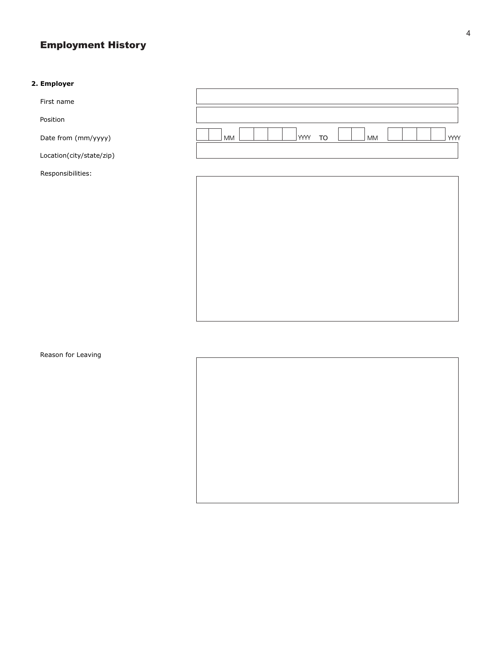# Employment History

#### **2. Employer**

First name

Position

Date from (mm/yyyy)

Location(city/state/zip)

Responsibilities:





Reason for Leaving

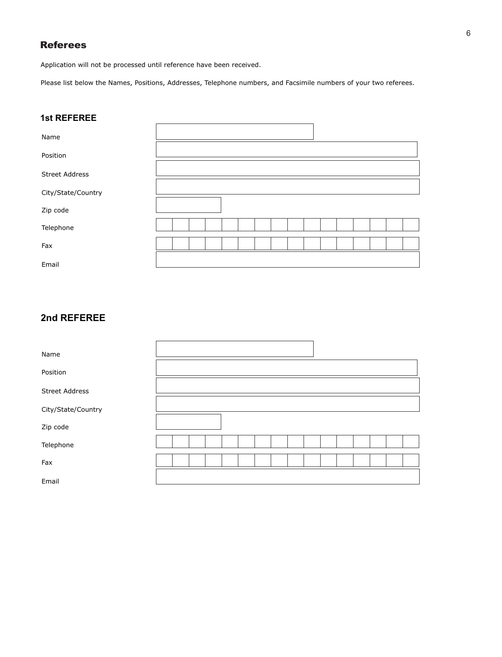## Referees

Application will not be processed until reference have been received.

Please list below the Names, Positions, Addresses, Telephone numbers, and Facsimile numbers of your two referees.

## **1st REFEREE**

| Name                  |  |  |  |  |  |  |  |  |
|-----------------------|--|--|--|--|--|--|--|--|
| Position              |  |  |  |  |  |  |  |  |
| <b>Street Address</b> |  |  |  |  |  |  |  |  |
| City/State/Country    |  |  |  |  |  |  |  |  |
| Zip code              |  |  |  |  |  |  |  |  |
| Telephone             |  |  |  |  |  |  |  |  |
| Fax                   |  |  |  |  |  |  |  |  |
| Email                 |  |  |  |  |  |  |  |  |

## **2nd REFEREE**

| Name                  |  |  |  |  |  |  |  |  |
|-----------------------|--|--|--|--|--|--|--|--|
| Position              |  |  |  |  |  |  |  |  |
| <b>Street Address</b> |  |  |  |  |  |  |  |  |
| City/State/Country    |  |  |  |  |  |  |  |  |
| Zip code              |  |  |  |  |  |  |  |  |
| Telephone             |  |  |  |  |  |  |  |  |
| Fax                   |  |  |  |  |  |  |  |  |
| Email                 |  |  |  |  |  |  |  |  |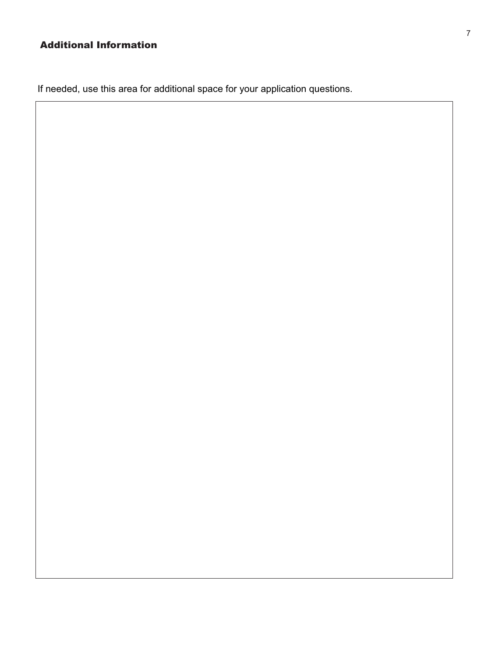# Additional Information

If needed, use this area for additional space for your application questions.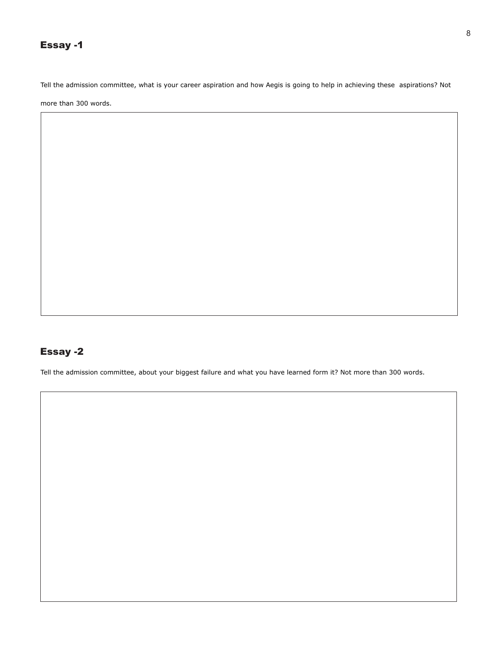## Essay -1

Tell the admission committee, what is your career aspiration and how Aegis is going to help in achieving these aspirations? Not

more than 300 words.

## Essay -2

Tell the admission committee, about your biggest failure and what you have learned form it? Not more than 300 words.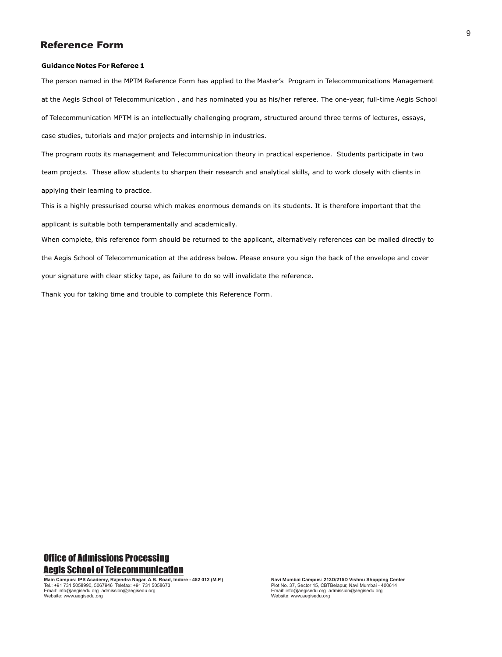### Reference Form

#### **Guidance Notes For Referee 1**

The person named in the MPTM Reference Form has applied to the Master's Program in Telecommunications Management at the Aegis School of Telecommunication , and has nominated you as his/her referee. The one-year, full-time Aegis School of Telecommunication MPTM is an intellectually challenging program, structured around three terms of lectures, essays, case studies, tutorials and major projects and internship in industries.

The program roots its management and Telecommunication theory in practical experience. Students participate in two team projects. These allow students to sharpen their research and analytical skills, and to work closely with clients in applying their learning to practice.

This is a highly pressurised course which makes enormous demands on its students. It is therefore important that the applicant is suitable both temperamentally and academically.

When complete, this reference form should be returned to the applicant, alternatively references can be mailed directly to the Aegis School of Telecommunication at the address below. Please ensure you sign the back of the envelope and cover your signature with clear sticky tape, as failure to do so will invalidate the reference.

Thank you for taking time and trouble to complete this Reference Form.

## Office of Admissions Processing Aegis School of Telecommunication

**Main Campus: IPS Academy, Rajendra Nagar, A.B. Road, Indore - 452 012 (M.P.)**<br>Tel.: +91 731 5058990, 5067946 Telefax: +91 731 5058673 Email: info@aegisedu.org admission@aegisedu.org Website: www.aegisedu.org

**Navi Mumbai Campus: 213D/215D Vishnu Shopping Center** Plot No. 37, Sector 15, CBTBelapur, Navi Mumbai - 400614 Email: info@aegisedu.org admission@aegisedu.org Website: www.aegisedu.org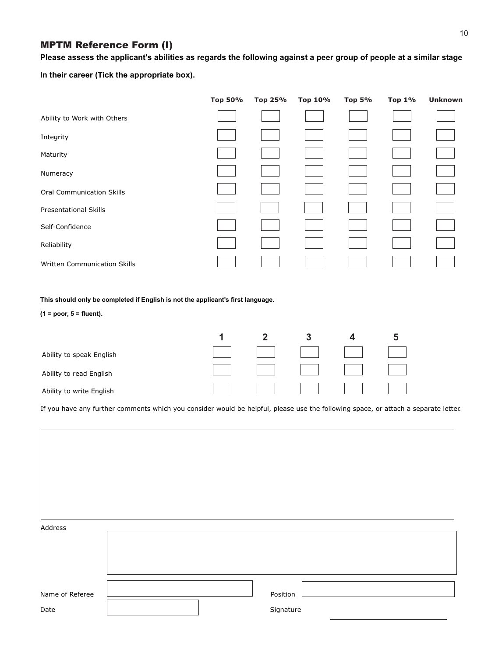## MPTM Reference Form (I)

**Please assess the applicant's abilities as regards the following against a peer group of people at a similar stage**

**In their career (Tick the appropriate box).**

|                                  | Top 50% | Top 25% | Top 10% | <b>Top 5%</b> | <b>Top 1%</b> | <b>Unknown</b> |
|----------------------------------|---------|---------|---------|---------------|---------------|----------------|
| Ability to Work with Others      |         |         |         |               |               |                |
| Integrity                        |         |         |         |               |               |                |
| Maturity                         |         |         |         |               |               |                |
| Numeracy                         |         |         |         |               |               |                |
| <b>Oral Communication Skills</b> |         |         |         |               |               |                |
| <b>Presentational Skills</b>     |         |         |         |               |               |                |
| Self-Confidence                  |         |         |         |               |               |                |
| Reliability                      |         |         |         |               |               |                |
| Written Communication Skills     |         |         |         |               |               |                |

**This should only be completed if English is not the applicant's first language.**

**(1 = poor, 5 = fluent).**

| Ability to speak English |  |  |  |
|--------------------------|--|--|--|
| Ability to read English  |  |  |  |
| Ability to write English |  |  |  |

If you have any further comments which you consider would be helpful, please use the following space, or attach a separate letter.

| Address                 |                       |  |
|-------------------------|-----------------------|--|
|                         |                       |  |
| Name of Referee<br>Date | Position<br>Signature |  |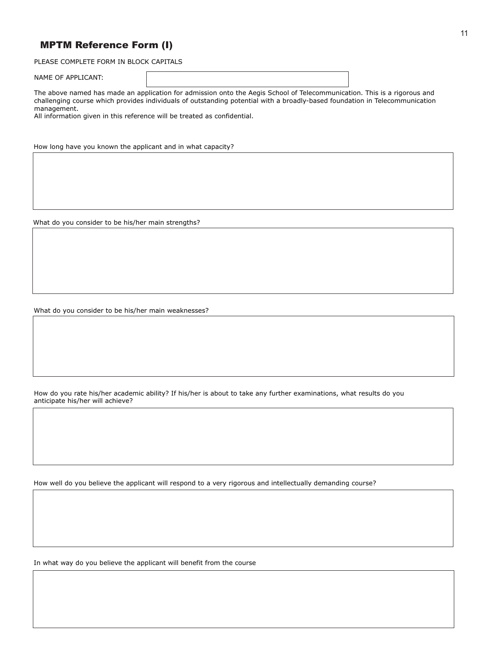## MPTM Reference Form (I)

PLEASE COMPLETE FORM IN BLOCK CAPITALS

NAME OF APPLICANT:

The above named has made an application for admission onto the Aegis School of Telecommunication. This is a rigorous and challenging course which provides individuals of outstanding potential with a broadly-based foundation in Telecommunication management.

All information given in this reference will be treated as confidential.

How long have you known the applicant and in what capacity?

What do you consider to be his/her main strengths?

What do you consider to be his/her main weaknesses?

How do you rate his/her academic ability? If his/her is about to take any further examinations, what results do you anticipate his/her will achieve?

How well do you believe the applicant will respond to a very rigorous and intellectually demanding course?

In what way do you believe the applicant will benefit from the course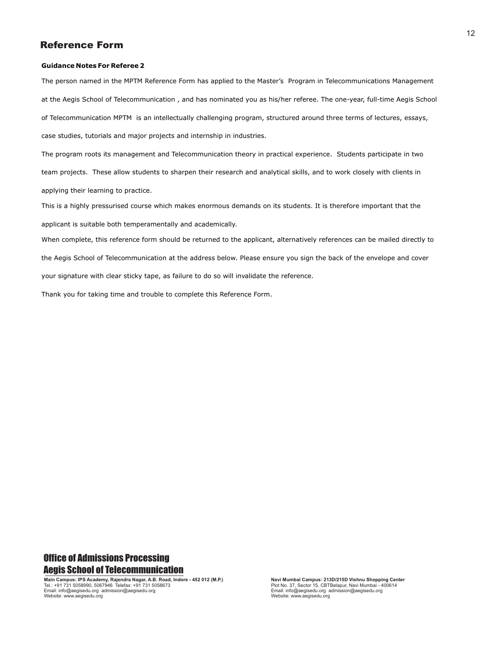### Reference Form

#### **Guidance Notes For Referee 2**

The person named in the MPTM Reference Form has applied to the Master's Program in Telecommunications Management at the Aegis School of Telecommunication , and has nominated you as his/her referee. The one-year, full-time Aegis School of Telecommunication MPTM is an intellectually challenging program, structured around three terms of lectures, essays, case studies, tutorials and major projects and internship in industries.

The program roots its management and Telecommunication theory in practical experience. Students participate in two team projects. These allow students to sharpen their research and analytical skills, and to work closely with clients in applying their learning to practice.

This is a highly pressurised course which makes enormous demands on its students. It is therefore important that the applicant is suitable both temperamentally and academically.

When complete, this reference form should be returned to the applicant, alternatively references can be mailed directly to the Aegis School of Telecommunication at the address below. Please ensure you sign the back of the envelope and cover your signature with clear sticky tape, as failure to do so will invalidate the reference.

Thank you for taking time and trouble to complete this Reference Form.

## Office of Admissions Processing Aegis School of Telecommunication

**Main Campus: IPS Academy, Rajendra Nagar, A.B. Road, Indore - 452 012 (M.P.)**<br>Tel.: +91 731 5058990, 5067946 Telefax: +91 731 5058673 Email: info@aegisedu.org admission@aegisedu.org Website: www.aegisedu.org

**Navi Mumbai Campus: 213D/215D Vishnu Shopping Center** Plot No. 37, Sector 15, CBTBelapur, Navi Mumbai - 400614 Email: info@aegisedu.org admission@aegisedu.org Website: www.aegisedu.org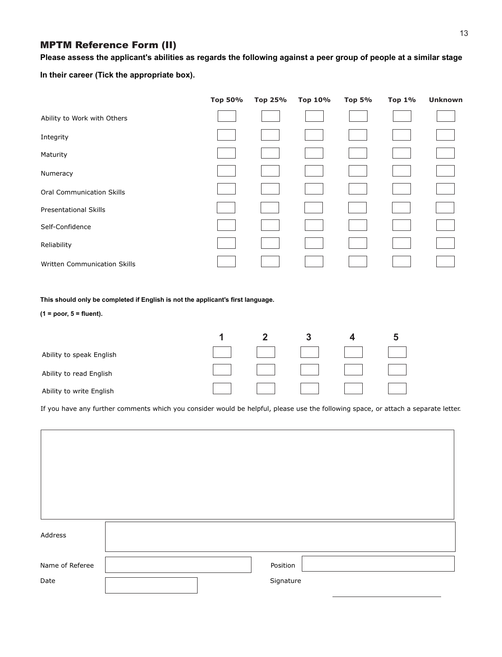## MPTM Reference Form (II)

**Please assess the applicant's abilities as regards the following against a peer group of people at a similar stage**

**In their career (Tick the appropriate box).**

|                                  | Top 50% | Top 25% | Top 10% | <b>Top 5%</b> | <b>Top 1%</b> | <b>Unknown</b> |
|----------------------------------|---------|---------|---------|---------------|---------------|----------------|
| Ability to Work with Others      |         |         |         |               |               |                |
| Integrity                        |         |         |         |               |               |                |
| Maturity                         |         |         |         |               |               |                |
| Numeracy                         |         |         |         |               |               |                |
| <b>Oral Communication Skills</b> |         |         |         |               |               |                |
| <b>Presentational Skills</b>     |         |         |         |               |               |                |
| Self-Confidence                  |         |         |         |               |               |                |
| Reliability                      |         |         |         |               |               |                |
| Written Communication Skills     |         |         |         |               |               |                |

**This should only be completed if English is not the applicant's first language.**

**(1 = poor, 5 = fluent).**

| Ability to speak English |  | <b>Contract Contract Contract</b> | $\mathbb{R}$ . The set of $\mathbb{R}$ | $\mathbb{R}^n$ |
|--------------------------|--|-----------------------------------|----------------------------------------|----------------|
| Ability to read English  |  | and the state of the state        | and the control of the control         | and the state  |
| Ability to write English |  |                                   | and the control of the con-            |                |

If you have any further comments which you consider would be helpful, please use the following space, or attach a separate letter.

| Address         |           |
|-----------------|-----------|
| Name of Referee | Position  |
| Date            | Signature |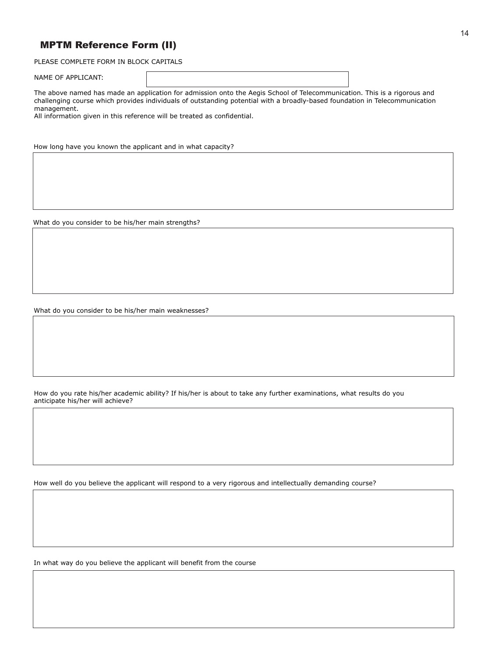## MPTM Reference Form (II)

PLEASE COMPLETE FORM IN BLOCK CAPITALS

NAME OF APPLICANT:

The above named has made an application for admission onto the Aegis School of Telecommunication. This is a rigorous and challenging course which provides individuals of outstanding potential with a broadly-based foundation in Telecommunication management.

All information given in this reference will be treated as confidential.

How long have you known the applicant and in what capacity?

What do you consider to be his/her main strengths?

What do you consider to be his/her main weaknesses?

How do you rate his/her academic ability? If his/her is about to take any further examinations, what results do you anticipate his/her will achieve?

How well do you believe the applicant will respond to a very rigorous and intellectually demanding course?

In what way do you believe the applicant will benefit from the course